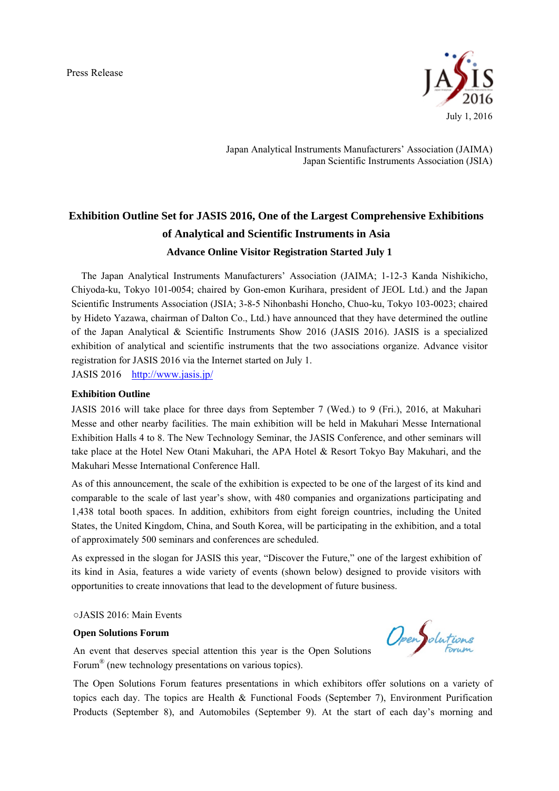Press Release



Japan Analytical Instruments Manufacturers' Association (JAIMA) Japan Scientific Instruments Association (JSIA)

# **Exhibition Outline Set for JASIS 2016, One of the Largest Comprehensive Exhibitions of Analytical and Scientific Instruments in Asia Advance Online Visitor Registration Started July 1**

The Japan Analytical Instruments Manufacturers' Association (JAIMA; 1-12-3 Kanda Nishikicho, Chiyoda-ku, Tokyo 101-0054; chaired by Gon-emon Kurihara, president of JEOL Ltd.) and the Japan Scientific Instruments Association (JSIA; 3-8-5 Nihonbashi Honcho, Chuo-ku, Tokyo 103-0023; chaired by Hideto Yazawa, chairman of Dalton Co., Ltd.) have announced that they have determined the outline of the Japan Analytical & Scientific Instruments Show 2016 (JASIS 2016). JASIS is a specialized exhibition of analytical and scientific instruments that the two associations organize. Advance visitor registration for JASIS 2016 via the Internet started on July 1.

JASIS 2016 http://www.jasis.jp/

## **Exhibition Outline**

JASIS 2016 will take place for three days from September 7 (Wed.) to 9 (Fri.), 2016, at Makuhari Messe and other nearby facilities. The main exhibition will be held in Makuhari Messe International Exhibition Halls 4 to 8. The New Technology Seminar, the JASIS Conference, and other seminars will take place at the Hotel New Otani Makuhari, the APA Hotel & Resort Tokyo Bay Makuhari, and the Makuhari Messe International Conference Hall.

As of this announcement, the scale of the exhibition is expected to be one of the largest of its kind and comparable to the scale of last year's show, with 480 companies and organizations participating and 1,438 total booth spaces. In addition, exhibitors from eight foreign countries, including the United States, the United Kingdom, China, and South Korea, will be participating in the exhibition, and a total of approximately 500 seminars and conferences are scheduled.

As expressed in the slogan for JASIS this year, "Discover the Future," one of the largest exhibition of its kind in Asia, features a wide variety of events (shown below) designed to provide visitors with opportunities to create innovations that lead to the development of future business.

○JASIS 2016: Main Events

#### **Open Solutions Forum**

An event that deserves special attention this year is the Open Solutions Forum® (new technology presentations on various topics).

The Open Solutions Forum features presentations in which exhibitors offer solutions on a variety of topics each day. The topics are Health & Functional Foods (September 7), Environment Purification Products (September 8), and Automobiles (September 9). At the start of each day's morning and

OpenSolutions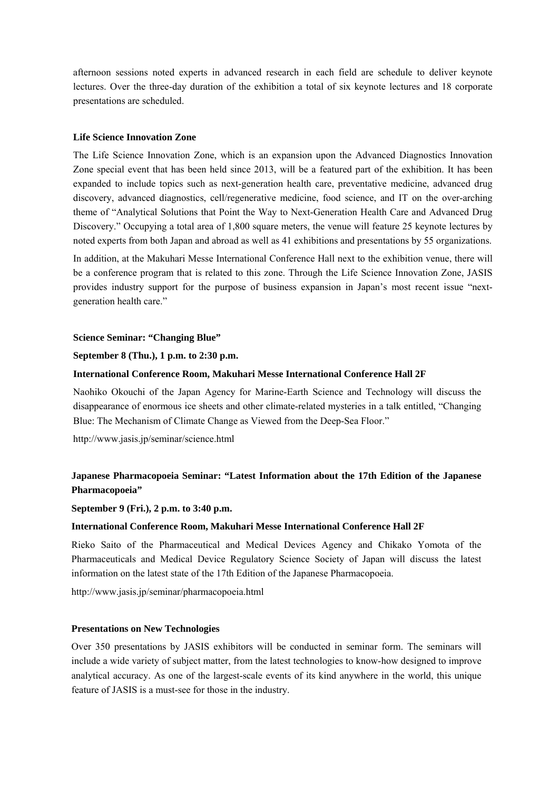afternoon sessions noted experts in advanced research in each field are schedule to deliver keynote lectures. Over the three-day duration of the exhibition a total of six keynote lectures and 18 corporate presentations are scheduled.

## **Life Science Innovation Zone**

The Life Science Innovation Zone, which is an expansion upon the Advanced Diagnostics Innovation Zone special event that has been held since 2013, will be a featured part of the exhibition. It has been expanded to include topics such as next-generation health care, preventative medicine, advanced drug discovery, advanced diagnostics, cell/regenerative medicine, food science, and IT on the over-arching theme of "Analytical Solutions that Point the Way to Next-Generation Health Care and Advanced Drug Discovery." Occupying a total area of 1,800 square meters, the venue will feature 25 keynote lectures by noted experts from both Japan and abroad as well as 41 exhibitions and presentations by 55 organizations.

In addition, at the Makuhari Messe International Conference Hall next to the exhibition venue, there will be a conference program that is related to this zone. Through the Life Science Innovation Zone, JASIS provides industry support for the purpose of business expansion in Japan's most recent issue "nextgeneration health care."

## **Science Seminar: "Changing Blue"**

## **September 8 (Thu.), 1 p.m. to 2:30 p.m.**

## **International Conference Room, Makuhari Messe International Conference Hall 2F**

Naohiko Okouchi of the Japan Agency for Marine-Earth Science and Technology will discuss the disappearance of enormous ice sheets and other climate-related mysteries in a talk entitled, "Changing Blue: The Mechanism of Climate Change as Viewed from the Deep-Sea Floor."

http://www.jasis.jp/seminar/science.html

# **Japanese Pharmacopoeia Seminar: "Latest Information about the 17th Edition of the Japanese Pharmacopoeia"**

## **September 9 (Fri.), 2 p.m. to 3:40 p.m.**

## **International Conference Room, Makuhari Messe International Conference Hall 2F**

Rieko Saito of the Pharmaceutical and Medical Devices Agency and Chikako Yomota of the Pharmaceuticals and Medical Device Regulatory Science Society of Japan will discuss the latest information on the latest state of the 17th Edition of the Japanese Pharmacopoeia.

http://www.jasis.jp/seminar/pharmacopoeia.html

## **Presentations on New Technologies**

Over 350 presentations by JASIS exhibitors will be conducted in seminar form. The seminars will include a wide variety of subject matter, from the latest technologies to know-how designed to improve analytical accuracy. As one of the largest-scale events of its kind anywhere in the world, this unique feature of JASIS is a must-see for those in the industry.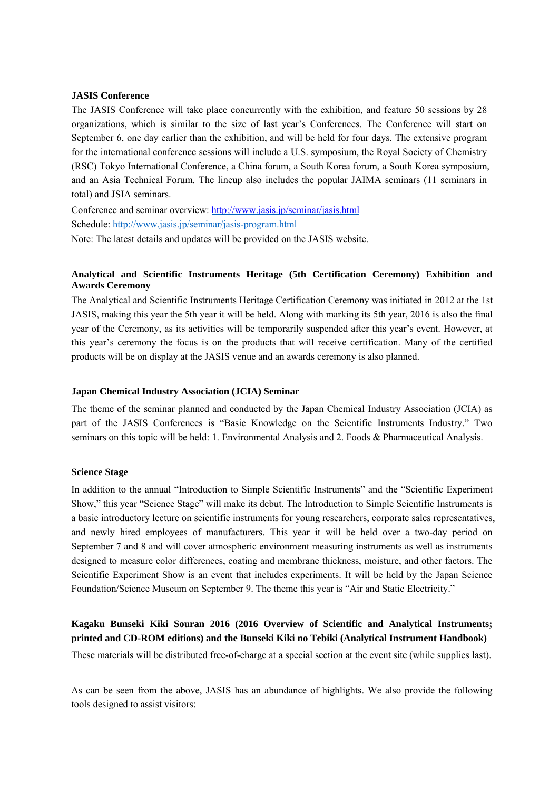## **JASIS Conference**

The JASIS Conference will take place concurrently with the exhibition, and feature 50 sessions by 28 organizations, which is similar to the size of last year's Conferences. The Conference will start on September 6, one day earlier than the exhibition, and will be held for four days. The extensive program for the international conference sessions will include a U.S. symposium, the Royal Society of Chemistry (RSC) Tokyo International Conference, a China forum, a South Korea forum, a South Korea symposium, and an Asia Technical Forum. The lineup also includes the popular JAIMA seminars (11 seminars in total) and JSIA seminars.

Conference and seminar overview: http://www.jasis.jp/seminar/jasis.html Schedule: http://www.jasis.jp/seminar/jasis-program.html

Note: The latest details and updates will be provided on the JASIS website.

## **Analytical and Scientific Instruments Heritage (5th Certification Ceremony) Exhibition and Awards Ceremony**

The Analytical and Scientific Instruments Heritage Certification Ceremony was initiated in 2012 at the 1st JASIS, making this year the 5th year it will be held. Along with marking its 5th year, 2016 is also the final year of the Ceremony, as its activities will be temporarily suspended after this year's event. However, at this year's ceremony the focus is on the products that will receive certification. Many of the certified products will be on display at the JASIS venue and an awards ceremony is also planned.

## **Japan Chemical Industry Association (JCIA) Seminar**

The theme of the seminar planned and conducted by the Japan Chemical Industry Association (JCIA) as part of the JASIS Conferences is "Basic Knowledge on the Scientific Instruments Industry." Two seminars on this topic will be held: 1. Environmental Analysis and 2. Foods & Pharmaceutical Analysis.

## **Science Stage**

In addition to the annual "Introduction to Simple Scientific Instruments" and the "Scientific Experiment Show," this year "Science Stage" will make its debut. The Introduction to Simple Scientific Instruments is a basic introductory lecture on scientific instruments for young researchers, corporate sales representatives, and newly hired employees of manufacturers. This year it will be held over a two-day period on September 7 and 8 and will cover atmospheric environment measuring instruments as well as instruments designed to measure color differences, coating and membrane thickness, moisture, and other factors. The Scientific Experiment Show is an event that includes experiments. It will be held by the Japan Science Foundation/Science Museum on September 9. The theme this year is "Air and Static Electricity."

# **Kagaku Bunseki Kiki Souran 2016 (2016 Overview of Scientific and Analytical Instruments; printed and CD-ROM editions) and the Bunseki Kiki no Tebiki (Analytical Instrument Handbook)**

These materials will be distributed free-of-charge at a special section at the event site (while supplies last).

As can be seen from the above, JASIS has an abundance of highlights. We also provide the following tools designed to assist visitors: